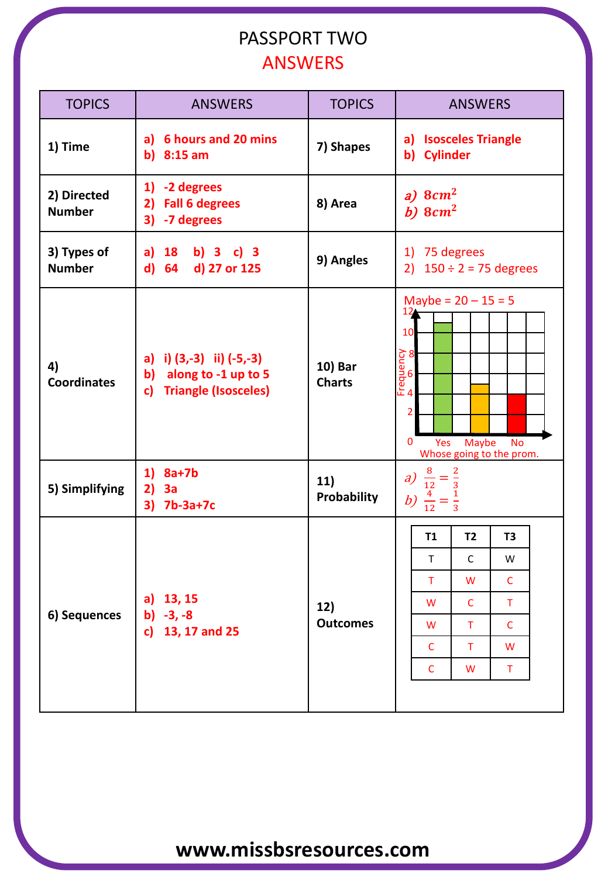### PASSPORT TWO ANSWERS

| <b>TOPICS</b>                | <b>ANSWERS</b>                                                                                        | <b>TOPICS</b>            | <b>ANSWERS</b>                                                                                                                          |  |  |  |
|------------------------------|-------------------------------------------------------------------------------------------------------|--------------------------|-----------------------------------------------------------------------------------------------------------------------------------------|--|--|--|
| 1) Time                      | a) 6 hours and 20 mins<br>b) $8:15$ am                                                                | 7) Shapes                | a) Isosceles Triangle<br>b) Cylinder                                                                                                    |  |  |  |
| 2) Directed<br><b>Number</b> | 1) -2 degrees<br>2) Fall 6 degrees<br>3) -7 degrees                                                   | 8) Area                  | a) $8cm2$<br>b) $8cm2$                                                                                                                  |  |  |  |
| 3) Types of<br><b>Number</b> | a) $18$ b) $3$ c) $3$<br>d) 64 d) 27 or 125                                                           | 9) Angles                | 1) 75 degrees<br>2) $150 \div 2 = 75$ degrees                                                                                           |  |  |  |
| 4)<br><b>Coordinates</b>     | a) i) $(3,-3)$ ii) $(-5,-3)$<br>b) along to -1 up to 5<br><b>Triangle (Isosceles)</b><br>$\mathbf{c}$ | 10) Bar<br><b>Charts</b> | Maybe = $20 - 15 = 5$<br>12<br>10<br>Frequency<br>A<br>A<br>O<br>2<br>0<br>Yes<br><b>Maybe</b><br><b>No</b><br>Whose going to the prom. |  |  |  |
| 5) Simplifying               | $1)$ 8a+7b<br>2)<br>3a<br>3) 7b-3a+7c                                                                 | 11)<br>Probability       | a) $\frac{8}{12} = \frac{2}{3}$<br>b) $\frac{4}{12} = \frac{1}{3}$                                                                      |  |  |  |
| 6) Sequences                 | a) 13, 15<br>b) $-3, -8$<br>c) 13, 17 and 25                                                          | 12)<br><b>Outcomes</b>   | T <sub>1</sub><br>T <sub>2</sub><br>T <sub>3</sub>                                                                                      |  |  |  |
|                              |                                                                                                       |                          | $\mathsf{C}$<br>T.<br>W                                                                                                                 |  |  |  |
|                              |                                                                                                       |                          | T<br>$\mathsf{C}$<br>W                                                                                                                  |  |  |  |
|                              |                                                                                                       |                          | $\mathsf C$<br>W<br>Τ                                                                                                                   |  |  |  |
|                              |                                                                                                       |                          | $\mathsf{C}$<br>W<br>Τ                                                                                                                  |  |  |  |
|                              |                                                                                                       |                          | $\mathsf{C}$<br>$\mathsf T$<br>W                                                                                                        |  |  |  |
|                              |                                                                                                       |                          | $\mathsf C$<br>W<br>Τ                                                                                                                   |  |  |  |
|                              |                                                                                                       |                          |                                                                                                                                         |  |  |  |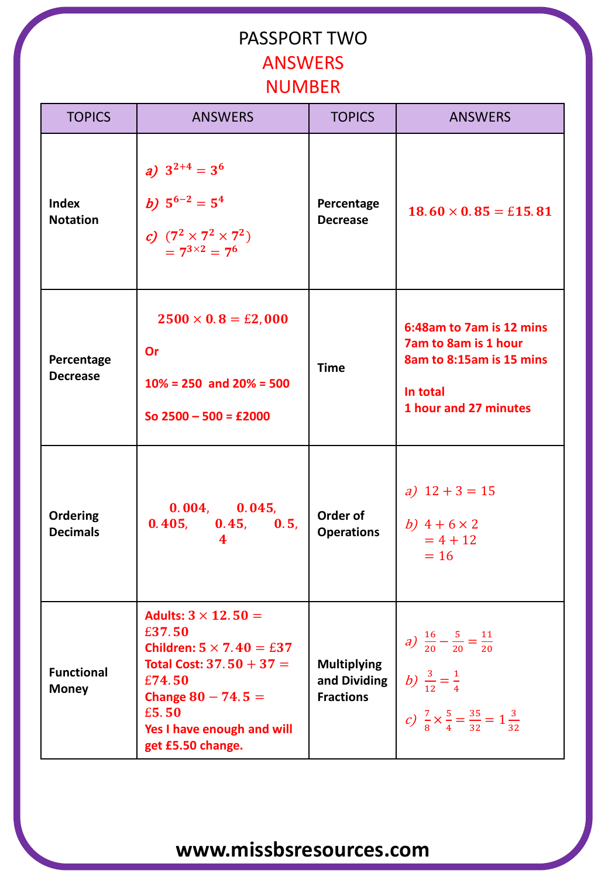#### PASSPORT TWO ANSWERS NUMBER

| <b>TOPICS</b>                     | <b>ANSWERS</b>                                                                                                                                                                                      | <b>TOPICS</b>                                          | <b>ANSWERS</b>                                                                                                                                              |
|-----------------------------------|-----------------------------------------------------------------------------------------------------------------------------------------------------------------------------------------------------|--------------------------------------------------------|-------------------------------------------------------------------------------------------------------------------------------------------------------------|
| <b>Index</b><br><b>Notation</b>   | a) $3^{2+4} = 3^6$<br>b) $5^{6-2} = 5^4$<br>c) $(7^2 \times 7^2 \times 7^2)$<br>$= 7^{3 \times 2} = 7^6$                                                                                            | Percentage<br><b>Decrease</b>                          | $18.60 \times 0.85 = \text{\pounds}15.81$                                                                                                                   |
| Percentage<br><b>Decrease</b>     | $2500 \times 0.8 = \text{\pounds}2,000$<br>Or<br>$10\% = 250$ and $20\% = 500$<br>So $2500 - 500 = £2000$                                                                                           | <b>Time</b>                                            | 6:48am to 7am is 12 mins<br><b>7am to 8am is 1 hour</b><br>8am to 8:15am is 15 mins<br>In total<br>1 hour and 27 minutes                                    |
| Ordering<br><b>Decimals</b>       | 0.004, 0.045,<br>0.405, 0.45, 0.5,<br>4                                                                                                                                                             | Order of<br><b>Operations</b>                          | a) $12 + 3 = 15$<br>b) $4 + 6 \times 2$<br>$= 4 + 12$<br>$= 16$                                                                                             |
| <b>Functional</b><br><b>Money</b> | Adults: $3 \times 12.50 =$<br>£37.50<br>Children: $5 \times 7.40 = £37$<br>Total Cost: $37.50 + 37 =$<br>£74.50<br>Change $80 - 74.5 =$<br>£5.50<br>Yes I have enough and will<br>get £5.50 change. | <b>Multiplying</b><br>and Dividing<br><b>Fractions</b> | a) $\frac{16}{20} - \frac{5}{20} = \frac{11}{20}$<br>b) $\frac{3}{12} = \frac{1}{4}$<br>c) $\frac{7}{8} \times \frac{5}{4} = \frac{35}{32} = 1\frac{3}{32}$ |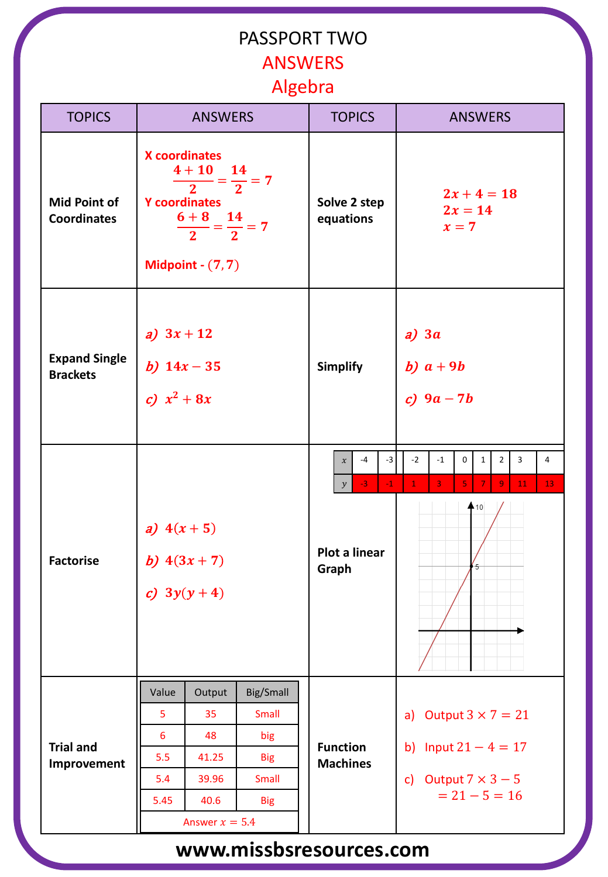## PASSPORT TWO ANSWERS Algebra

| <b>TOPICS</b>                             | <b>ANSWERS</b>                                                                                                                                                       |                                                                  |                                                                | <b>TOPICS</b>                                                                                         | <b>ANSWERS</b>                                                                                                                                                             |  |
|-------------------------------------------|----------------------------------------------------------------------------------------------------------------------------------------------------------------------|------------------------------------------------------------------|----------------------------------------------------------------|-------------------------------------------------------------------------------------------------------|----------------------------------------------------------------------------------------------------------------------------------------------------------------------------|--|
| <b>Mid Point of</b><br><b>Coordinates</b> | <b>X</b> coordinates<br>$4 + 10$ 14<br>$- = 7$<br>$\frac{1}{2}$<br>$\overline{2}$<br><b>Y</b> coordinates<br>$\frac{6+8}{2} = \frac{14}{2} = 7$<br>Midpoint $-(7,7)$ |                                                                  |                                                                | Solve 2 step<br>equations                                                                             | $2x + 4 = 18$<br>$2x = 14$<br>$x=7$                                                                                                                                        |  |
| <b>Expand Single</b><br><b>Brackets</b>   | a) $3x + 12$<br>b) $14x - 35$<br>c) $x^2 + 8x$                                                                                                                       |                                                                  |                                                                | <b>Simplify</b>                                                                                       | $a)$ 3 $a$<br>b) $a+9b$<br>c) $9a - 7b$                                                                                                                                    |  |
| <b>Factorise</b>                          | a) $4(x+5)$<br>b) $4(3x + 7)$<br>c) $3y(y+4)$                                                                                                                        |                                                                  |                                                                | $-4$<br>$-3$<br>$\boldsymbol{\chi}$<br>$-3$<br>$-1$<br>$\mathcal{Y}$<br><b>Plot a linear</b><br>Graph | $-2$<br>$-1$<br>0<br>$\mathbf{1}$<br>$\overline{2}$<br>3<br>$\overline{4}$<br>5<br>$\mathbf{1}$<br>$\overline{3}$<br>$\overline{7}$<br>9<br>13 <sup>°</sup><br>11<br>$+10$ |  |
| <b>Trial and</b><br>Improvement           | Value<br>5<br>6<br>5.5<br>5.4<br>5.45                                                                                                                                | Output<br>35<br>48<br>41.25<br>39.96<br>40.6<br>Answer $x = 5.4$ | Big/Small<br>Small<br>big<br><b>Big</b><br>Small<br><b>Big</b> | <b>Function</b><br><b>Machines</b>                                                                    | Output $3 \times 7 = 21$<br>a)<br>b) Input $21 - 4 = 17$<br>c) Output $7 \times 3 - 5$<br>$= 21 - 5 = 16$                                                                  |  |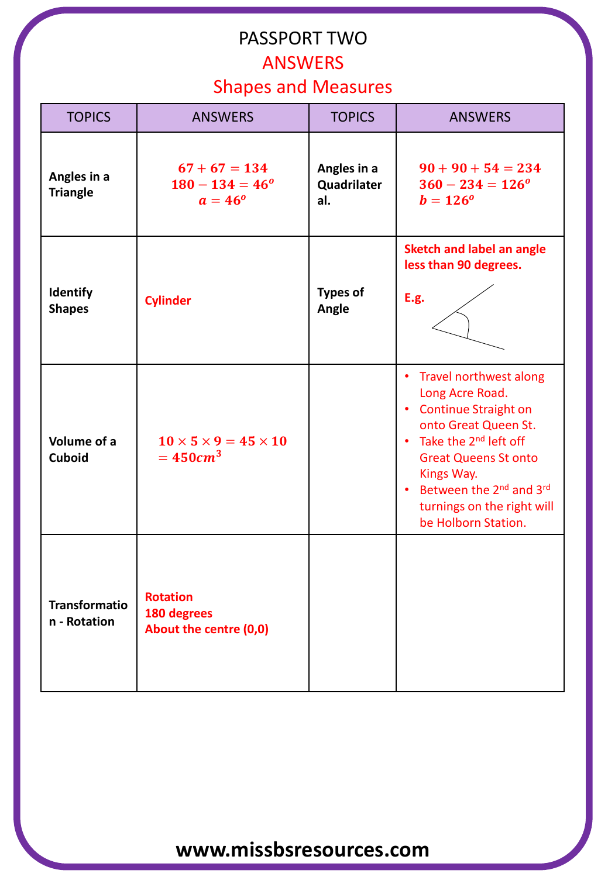## PASSPORT TWO ANSWERS

#### Shapes and Measures

| <b>TOPICS</b>                        | <b>ANSWERS</b>                                                  | <b>TOPICS</b>                     | <b>ANSWERS</b>                                                                                                                                                                                                                                                                                                                                 |
|--------------------------------------|-----------------------------------------------------------------|-----------------------------------|------------------------------------------------------------------------------------------------------------------------------------------------------------------------------------------------------------------------------------------------------------------------------------------------------------------------------------------------|
| Angles in a<br><b>Triangle</b>       | $67 + 67 = 134$<br>$180 - 134 = 46^{\circ}$<br>$a = 46^{\circ}$ | Angles in a<br>Quadrilater<br>al. | $90 + 90 + 54 = 234$<br>$360 - 234 = 126^{\circ}$<br>$b = 126^{\circ}$                                                                                                                                                                                                                                                                         |
| <b>Identify</b><br><b>Shapes</b>     | <b>Cylinder</b>                                                 | <b>Types of</b><br>Angle          | <b>Sketch and label an angle</b><br>less than 90 degrees.<br><b>E.g.</b>                                                                                                                                                                                                                                                                       |
| Volume of a<br><b>Cuboid</b>         | $10 \times 5 \times 9 = 45 \times 10$<br>$=450cm^3$             |                                   | Travel northwest along<br>$\bullet$<br>Long Acre Road.<br><b>Continue Straight on</b><br>$\bullet$<br>onto Great Queen St.<br>Take the 2 <sup>nd</sup> left off<br>$\bullet$<br><b>Great Queens St onto</b><br>Kings Way.<br>Between the 2 <sup>nd</sup> and 3 <sup>rd</sup><br>$\bullet$<br>turnings on the right will<br>be Holborn Station. |
| <b>Transformatio</b><br>n - Rotation | <b>Rotation</b><br>180 degrees<br>About the centre (0,0)        |                                   |                                                                                                                                                                                                                                                                                                                                                |